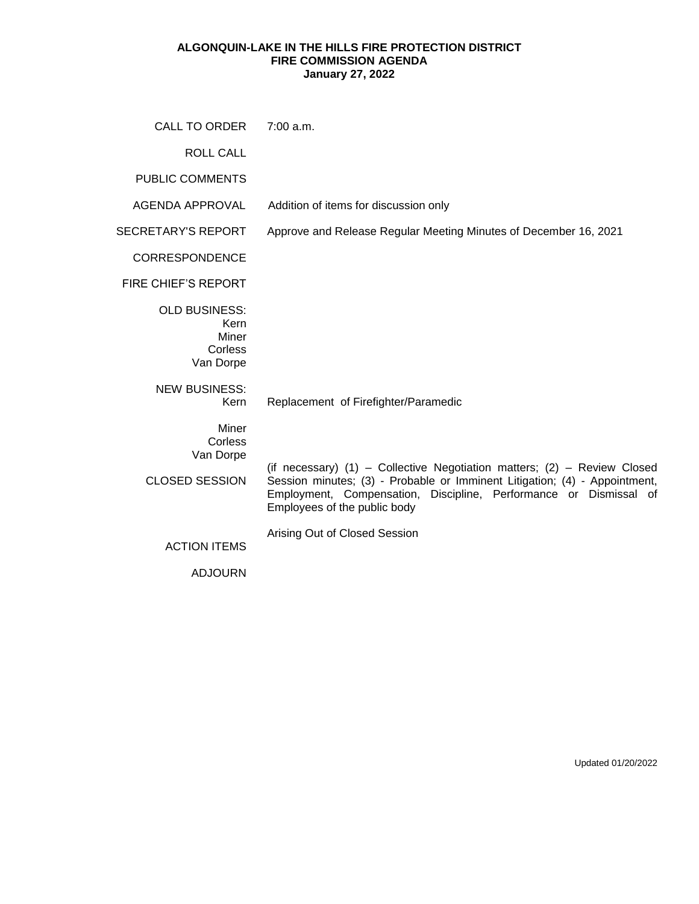## **ALGONQUIN-LAKE IN THE HILLS FIRE PROTECTION DISTRICT FIRE COMMISSION AGENDA January 27, 2022**

| CALL TO ORDER                                                 | 7:00 a.m.                                                                                                                                                                                                                                                   |
|---------------------------------------------------------------|-------------------------------------------------------------------------------------------------------------------------------------------------------------------------------------------------------------------------------------------------------------|
| <b>ROLL CALL</b>                                              |                                                                                                                                                                                                                                                             |
| <b>PUBLIC COMMENTS</b>                                        |                                                                                                                                                                                                                                                             |
| AGENDA APPROVAL                                               | Addition of items for discussion only                                                                                                                                                                                                                       |
| <b>SECRETARY'S REPORT</b>                                     | Approve and Release Regular Meeting Minutes of December 16, 2021                                                                                                                                                                                            |
| <b>CORRESPONDENCE</b>                                         |                                                                                                                                                                                                                                                             |
| <b>FIRE CHIEF'S REPORT</b>                                    |                                                                                                                                                                                                                                                             |
| <b>OLD BUSINESS:</b><br>Kern<br>Miner<br>Corless<br>Van Dorpe |                                                                                                                                                                                                                                                             |
| <b>NEW BUSINESS:</b><br>Kern                                  | Replacement of Firefighter/Paramedic                                                                                                                                                                                                                        |
| Miner<br>Corless<br>Van Dorpe<br><b>CLOSED SESSION</b>        | (if necessary) (1) - Collective Negotiation matters; (2) - Review Closed<br>Session minutes; (3) - Probable or Imminent Litigation; (4) - Appointment,<br>Employment, Compensation, Discipline, Performance or Dismissal of<br>Employees of the public body |
| <b>ACTION ITEMS</b><br><b>ADJOURN</b>                         | Arising Out of Closed Session                                                                                                                                                                                                                               |

Updated 01/20/2022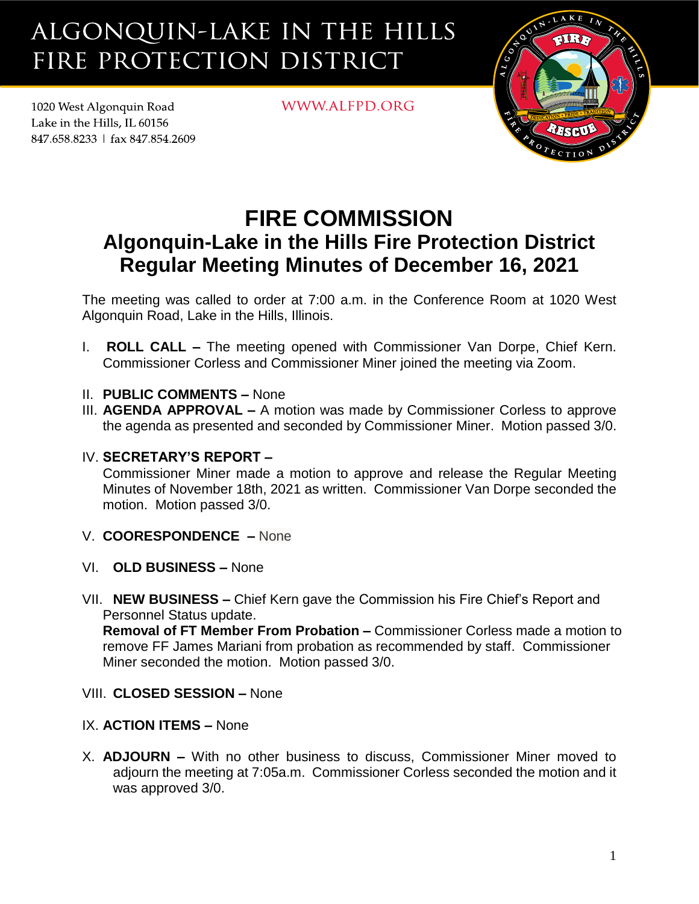## ALGONQUIN-LAKE IN THE HILLS FIRE PROTECTION DISTRICT

1020 West Algonquin Road Lake in the Hills. IL 60156 847.658.8233 | fax 847.854.2609 WWW.ALFPD.ORG



## **FIRE COMMISSION Algonquin-Lake in the Hills Fire Protection District Regular Meeting Minutes of December 16, 2021**

The meeting was called to order at 7:00 a.m. in the Conference Room at 1020 West Algonquin Road, Lake in the Hills, Illinois.

- I. **ROLL CALL –** The meeting opened with Commissioner Van Dorpe, Chief Kern. Commissioner Corless and Commissioner Miner joined the meeting via Zoom.
- II. **PUBLIC COMMENTS –** None
- III. **AGENDA APPROVAL –** A motion was made by Commissioner Corless to approve the agenda as presented and seconded by Commissioner Miner. Motion passed 3/0.
- IV. **SECRETARY'S REPORT –**

Commissioner Miner made a motion to approve and release the Regular Meeting Minutes of November 18th, 2021 as written. Commissioner Van Dorpe seconded the motion. Motion passed 3/0.

- V. **COORESPONDENCE –** None
- VI. **OLD BUSINESS –** None
- VII. **NEW BUSINESS –** Chief Kern gave the Commission his Fire Chief's Report and Personnel Status update.

**Removal of FT Member From Probation –** Commissioner Corless made a motion to remove FF James Mariani from probation as recommended by staff. Commissioner Miner seconded the motion. Motion passed 3/0.

- VIII. **CLOSED SESSION –** None
- IX. **ACTION ITEMS –** None
- X. **ADJOURN –** With no other business to discuss, Commissioner Miner moved to adjourn the meeting at 7:05a.m. Commissioner Corless seconded the motion and it was approved 3/0.